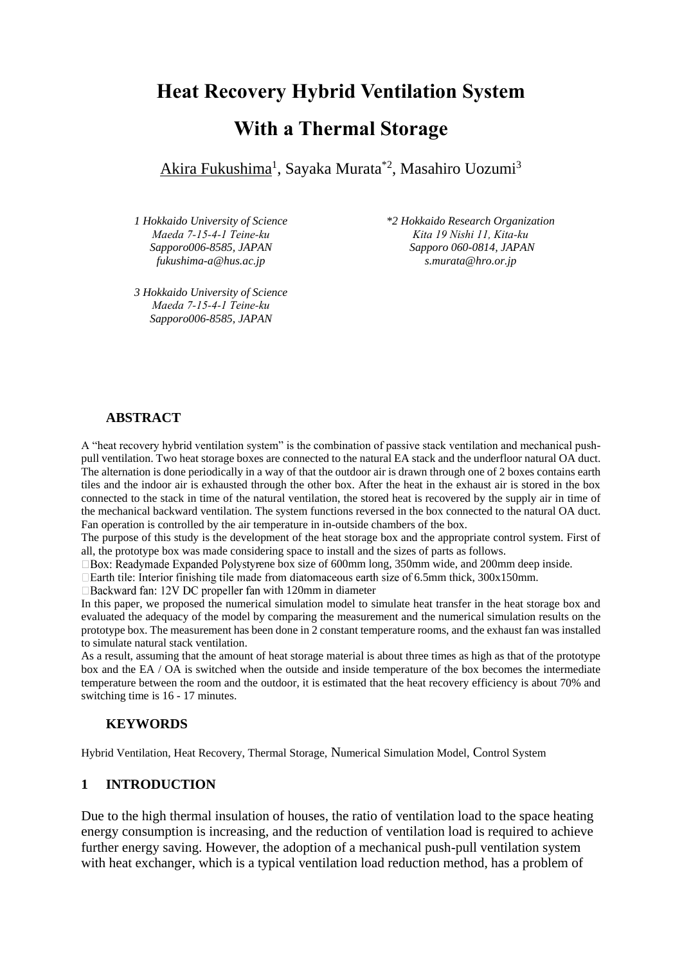# **Heat Recovery Hybrid Ventilation System With a Thermal Storage**

<u>Akira Fukushima<sup>1</sup>, Sayaka Murata $^{\ast 2}$ , Masahiro Uozumi $^3$ </u>

*1 Hokkaido University of Science Maeda 7-15-4-1 Teine-ku Sapporo006-8585, JAPAN fukushima-a@hus.ac.jp*

*3 Hokkaido University of Science Maeda 7-15-4-1 Teine-ku Sapporo006-8585, JAPAN*

*\*2 Hokkaido Research Organization Kita 19 Nishi 11, Kita-ku Sapporo 060-0814, JAPAN s.murata@hro.or.jp*

#### **ABSTRACT**

A "heat recovery hybrid ventilation system" is the combination of passive stack ventilation and mechanical pushpull ventilation. Two heat storage boxes are connected to the natural EA stack and the underfloor natural OA duct. The alternation is done periodically in a way of that the outdoor air is drawn through one of 2 boxes contains earth tiles and the indoor air is exhausted through the other box. After the heat in the exhaust air is stored in the box connected to the stack in time of the natural ventilation, the stored heat is recovered by the supply air in time of the mechanical backward ventilation. The system functions reversed in the box connected to the natural OA duct. Fan operation is controlled by the air temperature in in-outside chambers of the box.

The purpose of this study is the development of the heat storage box and the appropriate control system. First of all, the prototype box was made considering space to install and the sizes of parts as follows.

 $\Box$  Box: Readymade Expanded Polystyrene box size of 600mm long, 350mm wide, and 200mm deep inside.

 $\Box$  Earth tile: Interior finishing tile made from diatomaceous earth size of 6.5mm thick, 300x150mm.

 $\Box$  Backward fan: 12V DC propeller fan with 120mm in diameter

In this paper, we proposed the numerical simulation model to simulate heat transfer in the heat storage box and evaluated the adequacy of the model by comparing the measurement and the numerical simulation results on the prototype box. The measurement has been done in 2 constant temperature rooms, and the exhaust fan was installed to simulate natural stack ventilation.

As a result, assuming that the amount of heat storage material is about three times as high as that of the prototype box and the EA / OA is switched when the outside and inside temperature of the box becomes the intermediate temperature between the room and the outdoor, it is estimated that the heat recovery efficiency is about 70% and switching time is 16 - 17 minutes.

## **KEYWORDS**

Hybrid Ventilation, Heat Recovery, Thermal Storage, Numerical Simulation Model, Control System

#### **1 INTRODUCTION**

Due to the high thermal insulation of houses, the ratio of ventilation load to the space heating energy consumption is increasing, and the reduction of ventilation load is required to achieve further energy saving. However, the adoption of a mechanical push-pull ventilation system with heat exchanger, which is a typical ventilation load reduction method, has a problem of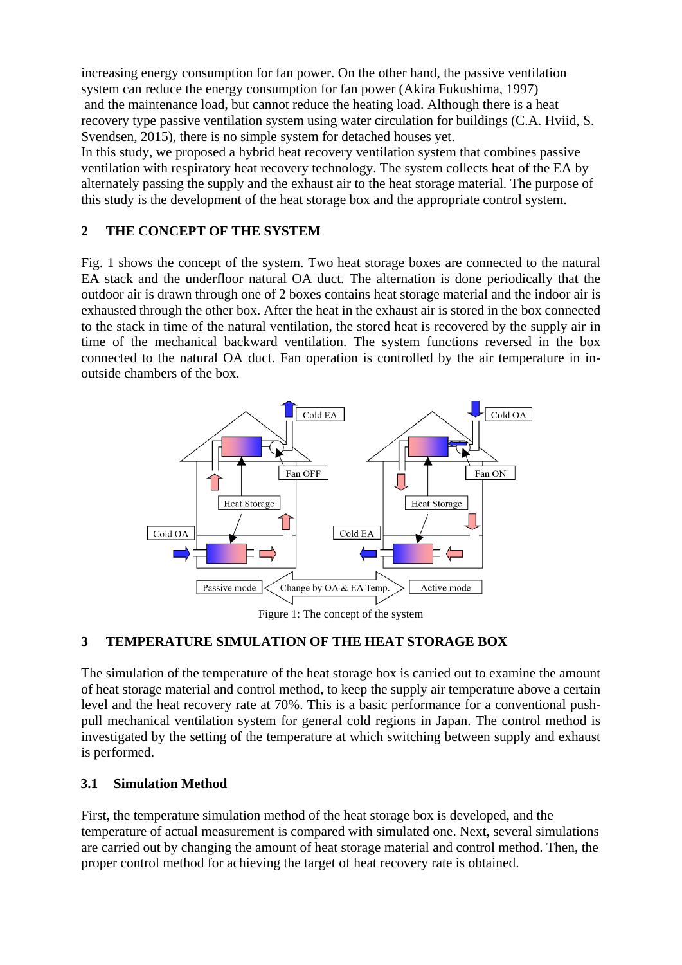increasing energy consumption for fan power. On the other hand, the passive ventilation system can reduce the energy consumption for fan power (Akira Fukushima, 1997) and the maintenance load, but cannot reduce the heating load. Although there is a heat recovery type passive ventilation system using water circulation for buildings (C.A. Hviid, S. Svendsen, 2015), there is no simple system for detached houses yet. In this study, we proposed a hybrid heat recovery ventilation system that combines passive ventilation with respiratory heat recovery technology. The system collects heat of the EA by

alternately passing the supply and the exhaust air to the heat storage material. The purpose of this study is the development of the heat storage box and the appropriate control system.

## **2 THE CONCEPT OF THE SYSTEM**

Fig. 1 shows the concept of the system. Two heat storage boxes are connected to the natural EA stack and the underfloor natural OA duct. The alternation is done periodically that the outdoor air is drawn through one of 2 boxes contains heat storage material and the indoor air is exhausted through the other box. After the heat in the exhaust air is stored in the box connected to the stack in time of the natural ventilation, the stored heat is recovered by the supply air in time of the mechanical backward ventilation. The system functions reversed in the box connected to the natural OA duct. Fan operation is controlled by the air temperature in inoutside chambers of the box.



Figure 1: The concept of the system

## **3 TEMPERATURE SIMULATION OF THE HEAT STORAGE BOX**

The simulation of the temperature of the heat storage box is carried out to examine the amount of heat storage material and control method, to keep the supply air temperature above a certain level and the heat recovery rate at 70%. This is a basic performance for a conventional pushpull mechanical ventilation system for general cold regions in Japan. The control method is investigated by the setting of the temperature at which switching between supply and exhaust is performed.

## **3.1 Simulation Method**

First, the temperature simulation method of the heat storage box is developed, and the temperature of actual measurement is compared with simulated one. Next, several simulations are carried out by changing the amount of heat storage material and control method. Then, the proper control method for achieving the target of heat recovery rate is obtained.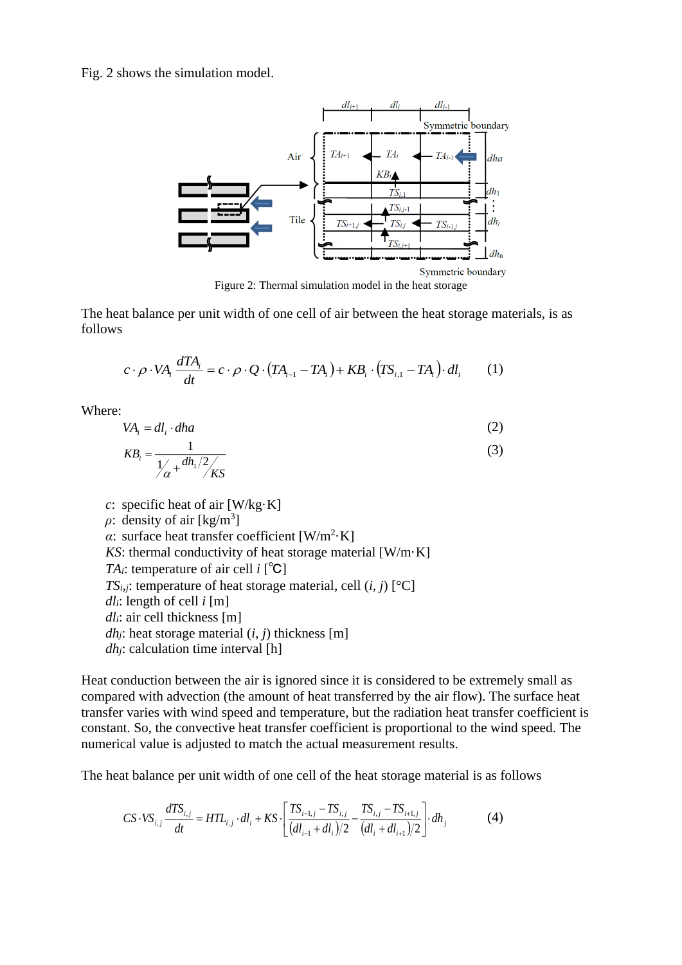Fig. 2 shows the simulation model.



Figure 2: Thermal simulation model in the heat storage

The heat balance per unit width of one cell of air between the heat storage materials, is as follows

$$
c \cdot \rho \cdot VA_i \frac{dTA_i}{dt} = c \cdot \rho \cdot Q \cdot (TA_{i-1} - TA_i) + KB_i \cdot (TS_{i,1} - TA_i) \cdot dl_i \tag{1}
$$

Where:

$$
VAi = dli \cdot dha
$$
 (2)

$$
KB_i = \frac{1}{\frac{1}{\alpha} + \frac{dh_1/2}{KSS}}
$$
(3)

*c*: specific heat of air [W/kg·K]  $\rho$ : density of air [kg/m<sup>3</sup>] *α*: surface heat transfer coefficient  $[W/m^2 K]$ *KS*: thermal conductivity of heat storage material [W/m·K] *TAi*: temperature of air cell *i* [℃] *TS*<sub>*i*</sub>,*j*: temperature of heat storage material, cell  $(i, j)$  [°C] *dli*: length of cell *i* [m] *dli*: air cell thickness [m] *dh*<sub>*j*</sub>: heat storage material  $(i, j)$  thickness [m] *dhj*: calculation time interval [h]

Heat conduction between the air is ignored since it is considered to be extremely small as compared with advection (the amount of heat transferred by the air flow). The surface heat transfer varies with wind speed and temperature, but the radiation heat transfer coefficient is constant. So, the convective heat transfer coefficient is proportional to the wind speed. The numerical value is adjusted to match the actual measurement results.

The heat balance per unit width of one cell of the heat storage material is as follows

$$
CS \cdot VS_{i,j} \frac{dTS_{i,j}}{dt} = HTL_{i,j} \cdot dl_i + KS \cdot \left[ \frac{TS_{i-1,j} - TS_{i,j}}{(dl_{i-1} + dl_i)/2} - \frac{TS_{i,j} - TS_{i+1,j}}{(dl_i + dl_{i+1})/2} \right] \cdot dh_j \tag{4}
$$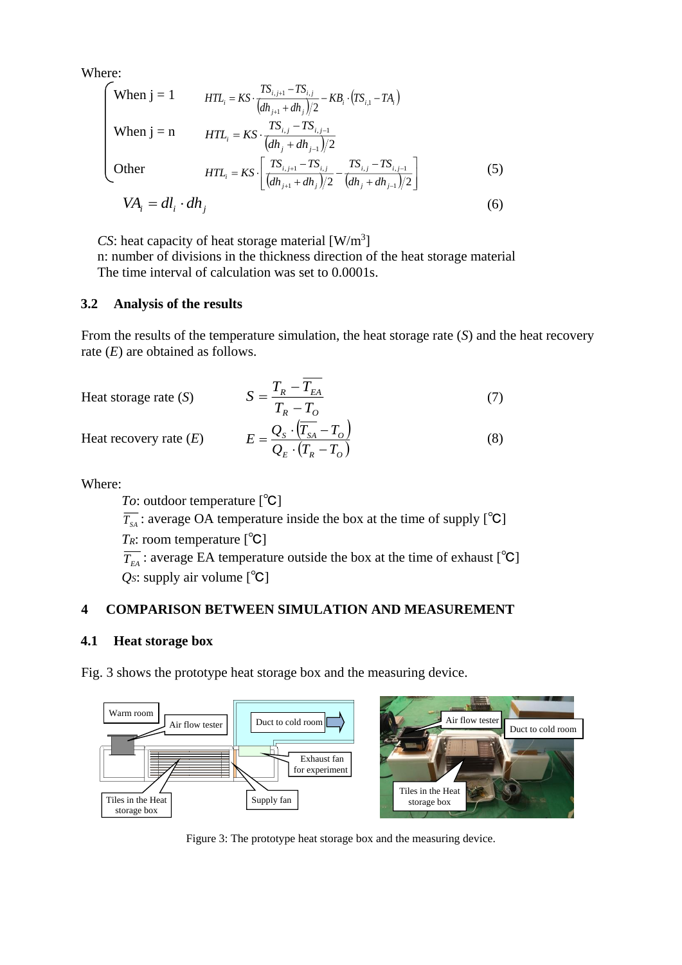Where:

When 
$$
j = 1
$$
  $HTL_i = KS \cdot \frac{TS_{i,j+1} - TS_{i,j}}{(dh_{j+1} + dh_j)/2} - KB_i \cdot (TS_{i,1} - TA_i)$   
\nWhen  $j = n$   $HTL_i = KS \cdot \frac{TS_{i,j} - TS_{i,j-1}}{(dh_j + dh_{j-1})/2}$   
\nOther  $HTL_i = KS \cdot \left[ \frac{TS_{i,j+1} - TS_{i,j}}{(dh_{j+1} + dh_j)/2} - \frac{TS_{i,j} - TS_{i,j-1}}{(dh_j + dh_{j-1})/2} \right]$  (5)  
\n $VA_i = dl_i \cdot dh_j$ 

 $CS$ : heat capacity of heat storage material  $[W/m^3]$ 

n: number of divisions in the thickness direction of the heat storage material The time interval of calculation was set to 0.0001s.

#### **3.2 Analysis of the results**

From the results of the temperature simulation, the heat storage rate (*S*) and the heat recovery rate (*E*) are obtained as follows.

Heat storage rate (S) 
$$
S = \frac{T_R - T_{EA}}{T_R - T_O}
$$

Heat recovery rate (*E*)

$$
E = \frac{Q_s \cdot (\overline{T_{SA}} - T_o)}{Q_E \cdot (T_R - T_o)}
$$
(8)

(7)

Where:

*To*: outdoor temperature [℃]  $\overline{T_{sA}}$ : average OA temperature inside the box at the time of supply [°C] *TR*: room temperature [℃]  $\overline{T_{EA}}$ : average EA temperature outside the box at the time of exhaust [°C] *QS*: supply air volume [℃]

## **4 COMPARISON BETWEEN SIMULATION AND MEASUREMENT**

#### **4.1 Heat storage box**

Fig. 3 shows the prototype heat storage box and the measuring device.



Figure 3: The prototype heat storage box and the measuring device.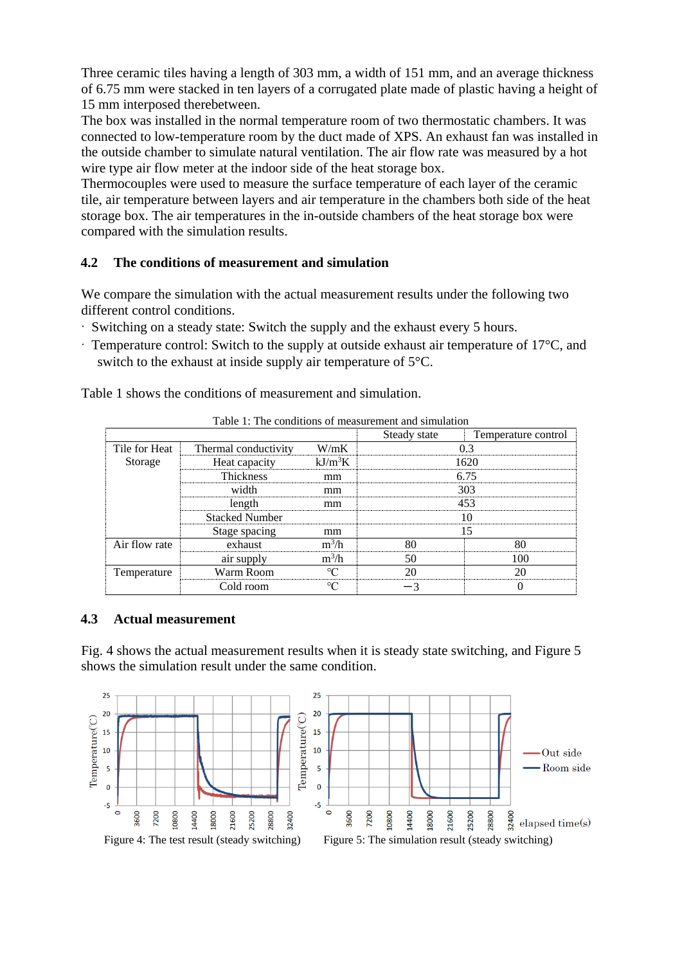Three ceramic tiles having a length of 303 mm, a width of 151 mm, and an average thickness of 6.75 mm were stacked in ten layers of a corrugated plate made of plastic having a height of 15 mm interposed therebetween.

The box was installed in the normal temperature room of two thermostatic chambers. It was connected to low-temperature room by the duct made of XPS. An exhaust fan was installed in the outside chamber to simulate natural ventilation. The air flow rate was measured by a hot wire type air flow meter at the indoor side of the heat storage box.

Thermocouples were used to measure the surface temperature of each layer of the ceramic tile, air temperature between layers and air temperature in the chambers both side of the heat storage box. The air temperatures in the in-outside chambers of the heat storage box were compared with the simulation results.

#### **4.2 The conditions of measurement and simulation**

We compare the simulation with the actual measurement results under the following two different control conditions.

- · Switching on a steady state: Switch the supply and the exhaust every 5 hours.
- $\cdot$  Temperature control: Switch to the supply at outside exhaust air temperature of 17 $\degree$ C, and switch to the exhaust at inside supply air temperature of 5°C.

Table 1 shows the conditions of measurement and simulation.

|               |                       |           | Steady state | Temperature control |  |
|---------------|-----------------------|-----------|--------------|---------------------|--|
| Tile for Heat | Thermal conductivity  | W/mK      |              |                     |  |
| Storage       | Heat capacity         | $kI/m^3K$ |              |                     |  |
|               | <b>Thickness</b>      | mm        |              | 6.75                |  |
|               | width                 | mm        |              | 303                 |  |
|               | length                | mm        |              | 453                 |  |
|               | <b>Stacked Number</b> |           |              |                     |  |
|               | Stage spacing         | mm        |              |                     |  |
| Air flow rate | exhaust               |           |              |                     |  |
|               | air supply            | $m^3/h$   |              |                     |  |
| Temperature   | Warm Room             |           |              |                     |  |
|               | Cold room             |           |              |                     |  |

Table 1: The conditions of measurement and simulation

#### **4.3 Actual measurement**

Fig. 4 shows the actual measurement results when it is steady state switching, and Figure 5 shows the simulation result under the same condition.

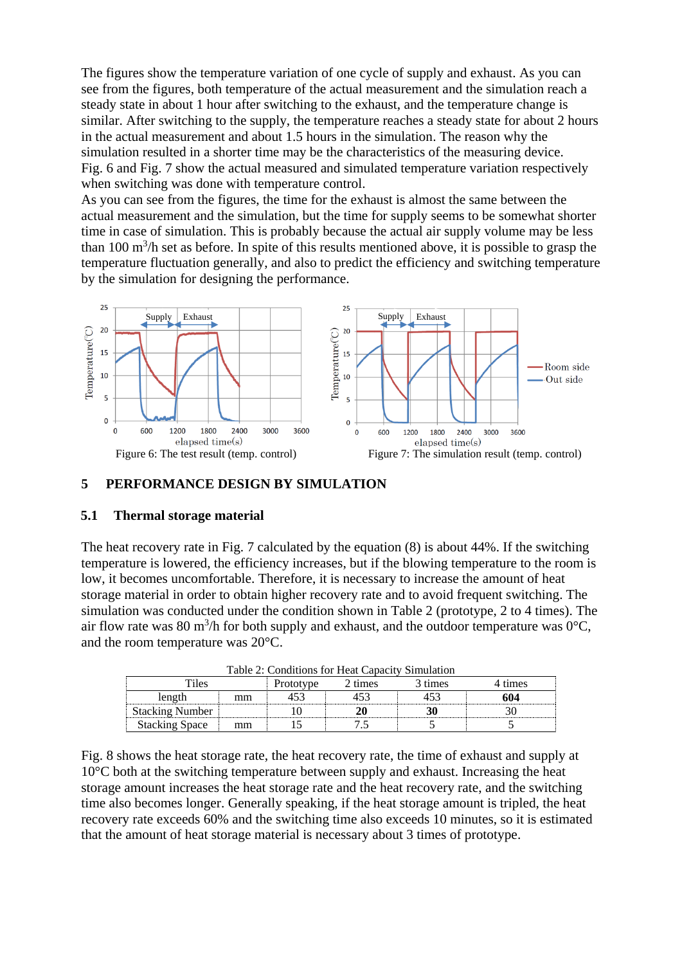The figures show the temperature variation of one cycle of supply and exhaust. As you can see from the figures, both temperature of the actual measurement and the simulation reach a steady state in about 1 hour after switching to the exhaust, and the temperature change is similar. After switching to the supply, the temperature reaches a steady state for about 2 hours in the actual measurement and about 1.5 hours in the simulation. The reason why the simulation resulted in a shorter time may be the characteristics of the measuring device. Fig. 6 and Fig. 7 show the actual measured and simulated temperature variation respectively when switching was done with temperature control.

As you can see from the figures, the time for the exhaust is almost the same between the actual measurement and the simulation, but the time for supply seems to be somewhat shorter time in case of simulation. This is probably because the actual air supply volume may be less than 100  $\text{m}^3$ /h set as before. In spite of this results mentioned above, it is possible to grasp the temperature fluctuation generally, and also to predict the efficiency and switching temperature by the simulation for designing the performance.



#### **5 PERFORMANCE DESIGN BY SIMULATION**

#### **5.1 Thermal storage material**

The heat recovery rate in Fig. 7 calculated by the equation (8) is about 44%. If the switching temperature is lowered, the efficiency increases, but if the blowing temperature to the room is low, it becomes uncomfortable. Therefore, it is necessary to increase the amount of heat storage material in order to obtain higher recovery rate and to avoid frequent switching. The simulation was conducted under the condition shown in Table 2 (prototype, 2 to 4 times). The air flow rate was 80 m<sup>3</sup>/h for both supply and exhaust, and the outdoor temperature was  $0^{\circ}C$ , and the room temperature was 20°C.

| Table 2. Conditions for rieal Capacity Shinulation |    |           |        |         |       |  |  |
|----------------------------------------------------|----|-----------|--------|---------|-------|--|--|
| `iles                                              |    | Prototype | times? | 3 times | fimes |  |  |
| length                                             | mm |           |        |         | 604   |  |  |
| <b>Stacking Number</b>                             |    |           |        |         |       |  |  |
| <b>Stacking Space</b>                              | mm |           |        |         |       |  |  |

Table 2: Conditions for Heat Capacity Simulation

Fig. 8 shows the heat storage rate, the heat recovery rate, the time of exhaust and supply at  $10^{\circ}$ C both at the switching temperature between supply and exhaust. Increasing the heat storage amount increases the heat storage rate and the heat recovery rate, and the switching time also becomes longer. Generally speaking, if the heat storage amount is tripled, the heat recovery rate exceeds 60% and the switching time also exceeds 10 minutes, so it is estimated that the amount of heat storage material is necessary about 3 times of prototype.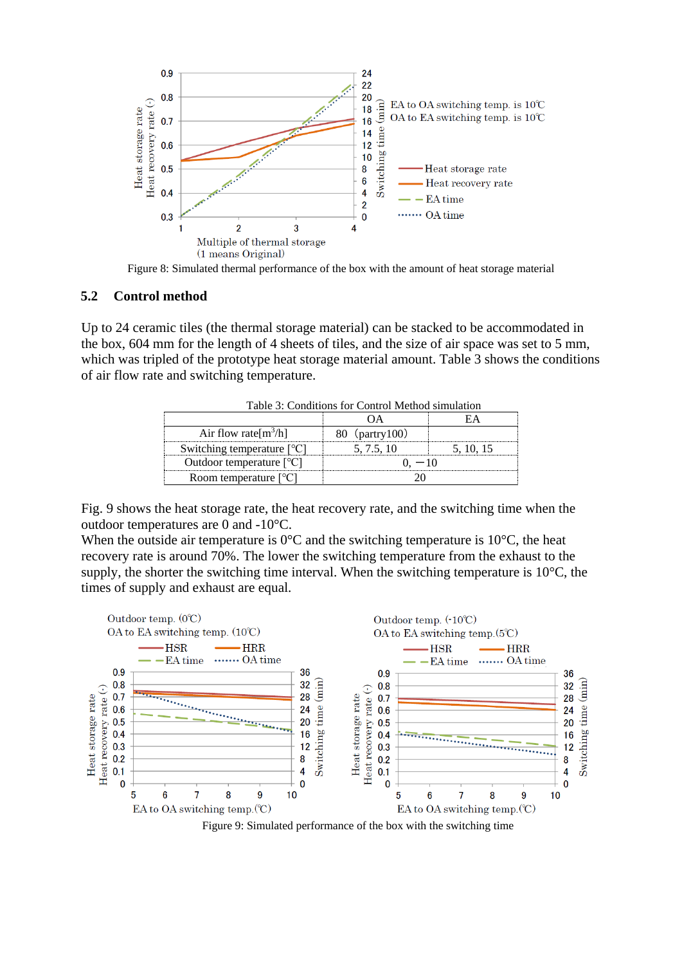

Figure 8: Simulated thermal performance of the box with the amount of heat storage material

#### **5.2 Control method**

Up to 24 ceramic tiles (the thermal storage material) can be stacked to be accommodated in the box, 604 mm for the length of 4 sheets of tiles, and the size of air space was set to 5 mm, which was tripled of the prototype heat storage material amount. Table 3 shows the conditions of air flow rate and switching temperature.

| Table 3: Conditions for Control Method simulation |                 |       |  |  |  |
|---------------------------------------------------|-----------------|-------|--|--|--|
|                                                   |                 |       |  |  |  |
| Air flow rate $[m^3/h]$                           | 80 (partry 100) |       |  |  |  |
| Switching temperature $\lceil {^{\circ}C} \rceil$ | 5, 7.5, 10      | 51015 |  |  |  |
| Outdoor temperature $[°C]$                        |                 |       |  |  |  |
| Room temperature $[°C]$                           |                 |       |  |  |  |

Table 3: Conditions for Control Method simulation

Fig. 9 shows the heat storage rate, the heat recovery rate, and the switching time when the outdoor temperatures are 0 and -10°C.

When the outside air temperature is  $0^{\circ}$ C and the switching temperature is 10<sup> $\circ$ </sup>C, the heat recovery rate is around 70%. The lower the switching temperature from the exhaust to the supply, the shorter the switching time interval. When the switching temperature is  $10^{\circ}$ C, the times of supply and exhaust are equal.



Figure 9: Simulated performance of the box with the switching time